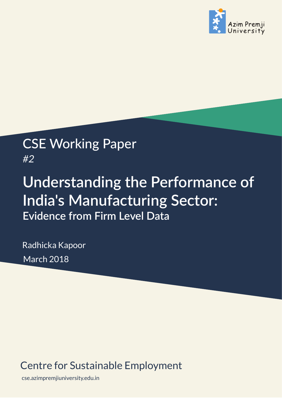

# CSE Working Paper *#2*

# **Understanding the Performance of India's Manufacturing Sector: Evidence from Firm Level Data**

Radhicka Kapoor March 2018

## Centre for Sustainable Employment

cse.azimpremjiuniversity.edu.in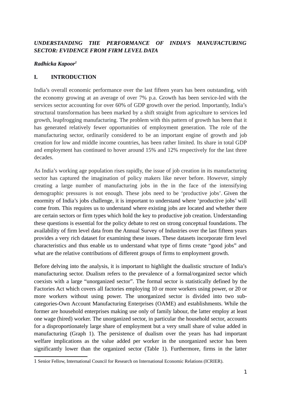### *UNDERSTANDING THE PERFORMANCE OF INDIA'S MANUFACTURING SECTOR: EVIDENCE FROM FIRM LEVEL DATA*

### *Radhicka Kapoor1*

### **I. INTRODUCTION**

India's overall economic performance over the last fifteen years has been outstanding, with the economy growing at an average of over 7% p.a. Growth has been service-led with the services sector accounting for over 60% of GDP growth over the period. Importantly, India's structural transformation has been marked by a shift straight from agriculture to services led growth, leapfrogging manufacturing. The problem with this pattern of growth has been that it has generated relatively fewer opportunities of employment generation. The role of the manufacturing sector, ordinarily considered to be an important engine of growth and job creation for low and middle income countries, has been rather limited. Its share in total GDP and employment has continued to hover around 15% and 12% respectively for the last three decades.

As India's working age population rises rapidly, the issue of job creation in its manufacturing sector has captured the imagination of policy makers like never before. However, simply creating a large number of manufacturing jobs in the in the face of the intensifying demographic pressures is not enough. These jobs need to be 'productive jobs'. Given the enormity of India's jobs challenge, it is important to understand where 'productive jobs' will come from. This requires us to understand where existing jobs are located and whether there are certain sectors or firm types which hold the key to productive job creation. Understanding these questions is essential for the policy debate to rest on strong conceptual foundations. The availability of firm level data from the Annual Survey of Industries over the last fifteen years provides a very rich dataset for examining these issues. These datasets incorporate firm level characteristics and thus enable us to understand what type of firms create "good jobs" and what are the relative contributions of different groups of firms to employment growth.

Before delving into the analysis, it is important to highlight the dualistic structure of India's manufacturing sector. Dualism refers to the prevalence of a formal/organized sector which coexists with a large "unorganized sector". The formal sector is statistically defined by the Factories Act which covers all factories employing 10 or more workers using power, or 20 or more workers without using power. The unorganized sector is divided into two subcategories-Own Account Manufacturing Enterprises (OAME) and establishments. While the former are household enterprises making use only of family labour, the latter employ at least one wage (hired) worker. The unorganized sector, in particular the household sector, accounts for a disproportionately large share of employment but a very small share of value added in manufacturing (Graph 1). The persistence of dualism over the years has had important welfare implications as the value added per worker in the unorganized sector has been significantly lower than the organized sector (Table 1). Furthermore, firms in the latter

<sup>1</sup> Senior Fellow, International Council for Research on International Economic Relations (ICRIER).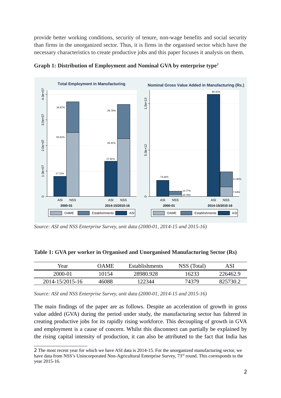provide better working conditions, security of tenure, non-wage benefits and social security than firms in the unorganized sector. Thus, it is firms in the organised sector which have the necessary characteristics to create productive jobs and this paper focuses it analysis on them.



**Graph 1: Distribution of Employment and Nominal GVA by enterprise type2**

Source: ASI and NSS Enterprise Survey, unit data (2000-01, 2014-15 and 2015-16)

| Table 1: GVA per worker in Organised and Unorganised Manufacturing Sector (Rs) |  |  |  |
|--------------------------------------------------------------------------------|--|--|--|
|                                                                                |  |  |  |

| Year            | 7AME  | <b>Establishments</b> | NSS (Total) | ASI      |
|-----------------|-------|-----------------------|-------------|----------|
| 2000-01         | 10154 | 28980.928             | 16233       | 226462.9 |
| 2014-15/2015-16 | 46088 | 122344                | 74379       | 825730.7 |

*Source: ASI and NSS Enterprise Survey, unit data (2000-01, 2014-15 and 2015-16)*

The main findings of the paper are as follows. Despite an acceleration of growth in gross value added (GVA) during the period under study, the manufacturing sector has faltered in creating productive jobs for its rapidly rising workforce. This decoupling of growth in GVA and employment is a cause of concern. Whilst this disconnect can partially be explained by the rising capital intensity of production, it can also be attributed to the fact that India has

<sup>2</sup> The most recent year for which we have ASI data is 2014-15. For the unorganized manufacturing sector, we have data from NSS's Unincorporated Non-Agricultural Enterprise Survey, 73<sup>rd</sup> round. This corresponds to the year 2015-16.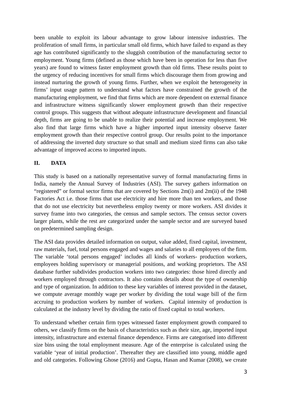been unable to exploit its labour advantage to grow labour intensive industries. The proliferation of small firms, in particular small old firms, which have failed to expand as they age has contributed significantly to the sluggish contribution of the manufacturing sector to employment. Young firms (defined as those which have been in operation for less than five years) are found to witness faster employment growth than old firms. These results point to the urgency of reducing incentives for small firms which discourage them from growing and instead nurturing the growth of young firms. Further, when we exploit the heterogeneity in firms' input usage pattern to understand what factors have constrained the growth of the manufacturing employment, we find that firms which are more dependent on external finance and infrastructure witness significantly slower employment growth than their respective control groups. This suggests that without adequate infrastructure development and financial depth, firms are going to be unable to realize their potential and increase employment. We also find that large firms which have a higher imported input intensity observe faster employment growth than their respective control group. Our results point to the importance of addressing the inverted duty structure so that small and medium sized firms can also take advantage of improved access to imported inputs.

### **II. DATA**

This study is based on a nationally representative survey of formal manufacturing firms in India, namely the Annual Survey of Industries (ASI). The survey gathers information on "registered" or formal sector firms that are covered by Sections  $2m(i)$  and  $2m(ii)$  of the 1948 Factories Act i.e. those firms that use electricity and hire more than ten workers, and those that do not use electricity but nevertheless employ twenty or more workers. ASI divides it survey frame into two categories, the census and sample sectors. The census sector covers larger plants, while the rest are categorized under the sample sector and are surveyed based on predetermined sampling design.

The ASI data provides detailed information on output, value added, fixed capital, investment, raw materials, fuel, total persons engaged and wages and salaries to all employees of the firm. The variable 'total persons engaged' includes all kinds of workers- production workers, employees holding supervisory or managerial positions, and working proprietors. The ASI database further subdivides production workers into two categories: those hired directly and workers employed through contractors. It also contains details about the type of ownership and type of organization. In addition to these key variables of interest provided in the dataset, we compute average monthly wage per worker by dividing the total wage bill of the firm accruing to production workers by number of workers. Capital intensity of production is calculated at the industry level by dividing the ratio of fixed capital to total workers.

To understand whether certain firm types witnessed faster employment growth compared to others, we classify firms on the basis of characteristics such as their size, age, imported input intensity, infrastructure and external finance dependence. Firms are categorised into different size bins using the total employment measure. Age of the enterprise is calculated using the variable 'year of initial production'. Thereafter they are classified into young, middle aged and old categories. Following Ghose (2016) and Gupta, Hasan and Kumar (2008), we create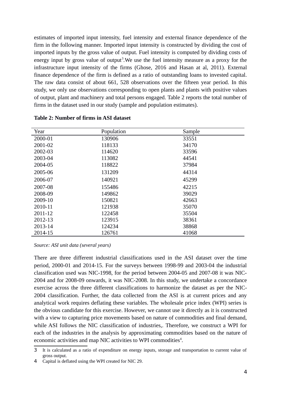estimates of imported input intensity, fuel intensity and external finance dependence of the firm in the following manner. Imported input intensity is constructed by dividing the cost of imported inputs by the gross value of output. Fuel intensity is computed by dividing costs of energy input by gross value of output<sup>3</sup>. We use the fuel intensity measure as a proxy for the infrastructure input intensity of the firms (Ghose, 2016 and Hasan at al, 2011). External finance dependence of the firm is defined as a ratio of outstanding loans to invested capital. The raw data consist of about 661, 528 observations over the fifteen year period. In this study, we only use observations corresponding to open plants and plants with positive values of output, plant and machinery and total persons engaged. Table 2 reports the total number of firms in the dataset used in our study (sample and population estimates).

| Year    | Population | Sample |
|---------|------------|--------|
| 2000-01 | 130906     | 33551  |
| 2001-02 | 118133     | 34170  |
| 2002-03 | 114620     | 33596  |
| 2003-04 | 113082     | 44541  |
| 2004-05 | 118822     | 37984  |
| 2005-06 | 131209     | 44314  |
| 2006-07 | 140921     | 45299  |
| 2007-08 | 155486     | 42215  |
| 2008-09 | 149862     | 39029  |
| 2009-10 | 150821     | 42663  |
| 2010-11 | 121938     | 35070  |
| 2011-12 | 122458     | 35504  |
| 2012-13 | 123915     | 38361  |
| 2013-14 | 124234     | 38868  |
| 2014-15 | 126761     | 41068  |

#### **Table 2: Number of firms in ASI dataset**

*Source: ASI unit data (several years)*

There are three different industrial classifications used in the ASI dataset over the time period, 2000-01 and 2014-15. For the surveys between 1998-99 and 2003-04 the industrial classification used was NIC-1998, for the period between 2004-05 and 2007-08 it was NIC-2004 and for 2008-09 onwards, it was NIC-2008. In this study, we undertake a concordance exercise across the three different classifications to harmonize the dataset as per the NIC-2004 classification. Further, the data collected from the ASI is at current prices and any analytical work requires deflating these variables. The wholesale price index (WPI) series is the obvious candidate for this exercise. However, we cannot use it directly as it is constructed with a view to capturing price movements based on nature of commodities and final demand, while ASI follows the NIC classification of industries,. Therefore, we construct a WPI for each of the industries in the analysis by approximating commodities based on the nature of economic activities and map NIC activities to WPI commodities<sup>4</sup>.

<sup>3</sup> It is calculated as a ratio of expenditure on energy inputs, storage and transportation to current value of gross output.

<sup>4</sup> Capital is deflated using the WPI created for NIC 29.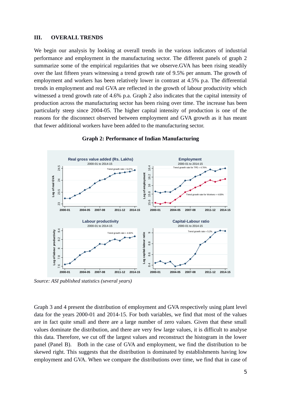#### **III. OVERALL TRENDS**

We begin our analysis by looking at overall trends in the various indicators of industrial performance and employment in the manufacturing sector. The different panels of graph 2 summarize some of the empirical regularities that we observe.GVA has been rising steadily over the last fifteen years witnessing a trend growth rate of 9.5% per annum. The growth of employment and workers has been relatively lower in contrast at 4.5% p.a. The differential trends in employment and real GVA are reflected in the growth of labour productivity which witnessed a trend growth rate of 4.6% p.a. Graph 2 also indicates that the capital intensity of production across the manufacturing sector has been rising over time. The increase has been particularly steep since 2004-05. The higher capital intensity of production is one of the reasons for the disconnect observed between employment and GVA growth as it has meant that fewer additional workers have been added to the manufacturing sector.



### **Graph 2: Performance of Indian Manufacturing**

*Source: ASI published statistics (several years)* Source: ASI Published Statistics (several years)

Graph 3 and 4 present the distribution of employment and GVA respectively using plant level data for the years 2000-01 and 2014-15. For both variables, we find that most of the values are in fact quite small and there are a large number of zero values. Given that these small values dominate the distribution, and there are very few large values, it is difficult to analyse this data. Therefore, we cut off the largest values and reconstruct the histogram in the lower panel (Panel B). Both in the case of GVA and employment, we find the distribution to be skewed right. This suggests that the distribution is dominated by establishments having low employment and GVA. When we compare the distributions over time, we find that in case of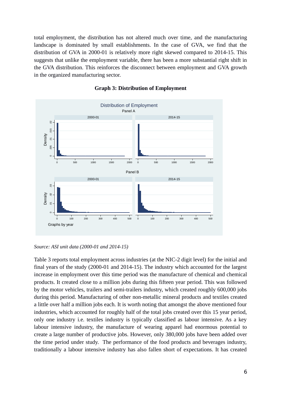total employment, the distribution has not altered much over time, and the manufacturing landscape is dominated by small establishments. In the case of GVA, we find that the distribution of GVA in 2000-01 is relatively more right skewed compared to 2014-15. This suggests that unlike the employment variable, there has been a more substantial right shift in the GVA distribution. This reinforces the disconnect between employment and GVA growth in the organized manufacturing sector.



### **Graph 3: Distribution of Employment**

*Source: ASI unit data (2000-01 and 2014-15)*

Table 3 reports total employment across industries (at the NIC-2 digit level) for the initial and final years of the study (2000-01 and 2014-15). The industry which accounted for the largest increase in employment over this time period was the manufacture of chemical and chemical products. It created close to a million jobs during this fifteen year period. This was followed by the motor vehicles, trailers and semi-trailers industry, which created roughly 600,000 jobs during this period. Manufacturing of other non-metallic mineral products and textiles created a little over half a million jobs each. It is worth noting that amongst the above mentioned four industries, which accounted for roughly half of the total jobs created over this 15 year period, only one industry i.e. textiles industry is typically classified as labour intensive. As a key labour intensive industry, the manufacture of wearing apparel had enormous potential to create a large number of productive jobs. However, only 380,000 jobs have been added over the time period under study. The performance of the food products and beverages industry, traditionally a labour intensive industry has also fallen short of expectations. It has created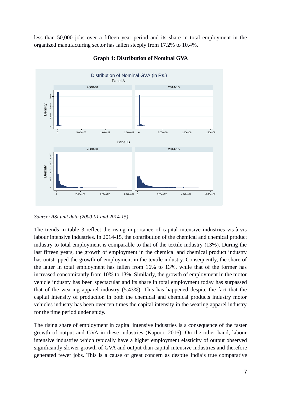less than 50,000 jobs over a fifteen year period and its share in total employment in the organized manufacturing sector has fallen steeply from 17.2% to 10.4%.



**Graph 4: Distribution of Nominal GVA**

*Source: ASI unit data (2000-01 and 2014-15)*

The trends in table 3 reflect the rising importance of capital intensive industries vis-à-vis labour intensive industries. In 2014-15, the contribution of the chemical and chemical product industry to total employment is comparable to that of the textile industry (13%). During the last fifteen years, the growth of employment in the chemical and chemical product industry has outstripped the growth of employment in the textile industry. Consequently, the share of the latter in total employment has fallen from 16% to 13%, while that of the former has increased concomitantly from 10% to 13%. Similarly, the growth of employment in the motor vehicle industry has been spectacular and its share in total employment today has surpassed that of the wearing apparel industry (5.43%). This has happened despite the fact that the capital intensity of production in both the chemical and chemical products industry motor vehicles industry has been over ten times the capital intensity in the wearing apparel industry for the time period under study.

The rising share of employment in capital intensive industries is a consequence of the faster growth of output and GVA in these industries (Kapoor, 2016). On the other hand, labour intensive industries which typically have a higher employment elasticity of output observed significantly slower growth of GVA and output than capital intensive industries and therefore generated fewer jobs. This is a cause of great concern as despite India's true comparative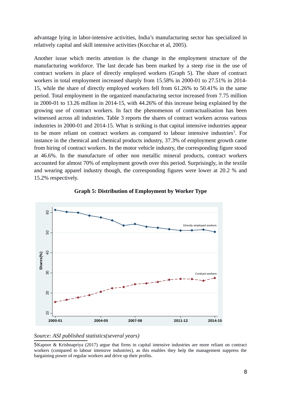advantage lying in labor-intensive activities, India's manufacturing sector has specialized in relatively capital and skill intensive activities (Kocchar et al, 2005).

Another issue which merits attention is the change in the employment structure of the manufacturing workforce. The last decade has been marked by a steep rise in the use of contract workers in place of directly employed workers (Graph 5). The share of contract workers in total employment increased sharply from 15.58% in 2000-01 to 27.51% in 2014- 15, while the share of directly employed workers fell from 61.26% to 50.41% in the same period. Total employment in the organized manufacturing sector increased from 7.75 million in 2000-01 to 13.26 million in 2014-15, with 44.26% of this increase being explained by the growing use of contract workers. In fact the phenomenon of contractualisation has been witnessed across all industries. Table 3 reports the shares of contract workers across various industries in 2000-01 and 2014-15. What is striking is that capital intensive industries appear to be more reliant on contract workers as compared to labour intensive industries<sup>5</sup>. For instance in the chemical and chemical products industry, 37.3% of employment growth came from hiring of contract workers. In the motor vehicle industry, the corresponding figure stood at 46.6%. In the manufacture of other non metallic mineral products, contract workers accounted for almost 70% of employment growth over this period. Surprisingly, in the textile and wearing apparel industry though, the corresponding figures were lower at 20.2 % and 15.2% respectively.





### *Source: ASI published statistics(several years)*

5Kapoor & Krishnapriya (2017) argue that firms in capital intensive industries are more reliant on contract workers (compared to labour intensive industries), as this enables they help the management suppress the bargaining power of regular workers and drive up their profits.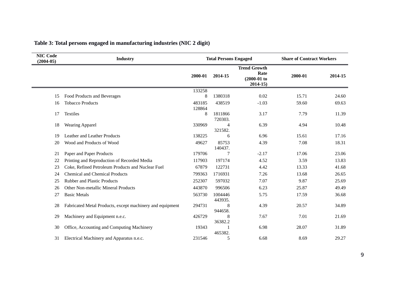| <b>NIC Code</b><br>$(2004-05)$ | <b>Industry</b>                                           | <b>Total Persons Engaged</b> |                    | <b>Share of Contract Workers</b>                             |         |         |
|--------------------------------|-----------------------------------------------------------|------------------------------|--------------------|--------------------------------------------------------------|---------|---------|
|                                |                                                           | 2000-01                      | 2014-15            | <b>Trend Growth</b><br>Rate<br>$(2000-01)$ to<br>$2014 - 15$ | 2000-01 | 2014-15 |
|                                |                                                           | 133258                       |                    |                                                              |         |         |
| 15                             | Food Products and Beverages                               | 8                            | 1380318            | 0.02                                                         | 15.71   | 24.60   |
| 16                             | <b>Tobacco Products</b>                                   | 483185<br>128864             | 438519             | $-1.03$                                                      | 59.60   | 69.63   |
| 17                             | <b>Textiles</b>                                           | 8                            | 1811866<br>720303. | 3.17                                                         | 7.79    | 11.39   |
| 18                             | <b>Wearing Apparel</b>                                    | 330969                       | 4<br>321582.       | 6.39                                                         | 4.94    | 10.48   |
| 19                             | Leather and Leather Products                              | 138225                       | 6                  | 6.96                                                         | 15.61   | 17.16   |
| 20                             | Wood and Products of Wood                                 | 49627                        | 85753<br>140437.   | 4.39                                                         | 7.08    | 18.31   |
| 21                             | Paper and Paper Products                                  | 179706                       | 7                  | $-2.17$                                                      | 17.06   | 23.06   |
| 22                             | Printing and Reproduction of Recorded Media               | 117903                       | 197174             | 4.52                                                         | 3.59    | 13.83   |
| 23                             | Coke, Refined Petroleum Products and Nuclear Fuel         | 67879                        | 122731             | 4.42                                                         | 13.33   | 41.68   |
| 24                             | <b>Chemical and Chemical Products</b>                     | 799363                       | 1716931            | 7.26                                                         | 13.68   | 26.65   |
| 25                             | <b>Rubber and Plastic Products</b>                        | 252307                       | 597032             | 7.07                                                         | 9.87    | 25.69   |
| 26                             | Other Non-metallic Mineral Products                       | 443870                       | 996506             | 6.23                                                         | 25.87   | 49.49   |
| 27                             | <b>Basic Metals</b>                                       | 563730                       | 1004446<br>443935. | 5.75                                                         | 17.59   | 36.68   |
| 28                             | Fabricated Metal Products, except machinery and equipment | 294731                       | 8<br>944658.       | 4.39                                                         | 20.57   | 34.89   |
| 29                             | Machinery and Equipment n.e.c.                            | 426729                       | 8<br>36382.2       | 7.67                                                         | 7.01    | 21.69   |
| 30                             | Office, Accounting and Computing Machinery                | 19343                        | 465382.            | 6.98                                                         | 28.07   | 31.89   |
| 31                             | Electrical Machinery and Apparatus n.e.c.                 | 231546                       | 5                  | 6.68                                                         | 8.69    | 29.27   |

### **Table 3: Total persons engaged in manufacturing industries (NIC 2 digit)**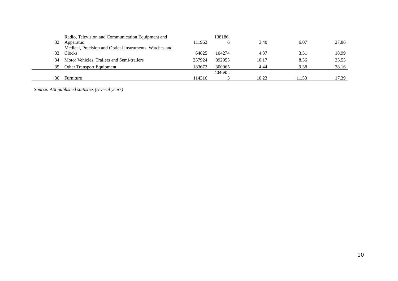|    | Radio, Television and Communication Equipment and       |        | 138186. |       |       |       |
|----|---------------------------------------------------------|--------|---------|-------|-------|-------|
| 32 | Apparatus                                               | 111962 | b       | 3.40  | 6.07  | 27.86 |
|    | Medical, Precision and Optical Instruments, Watches and |        |         |       |       |       |
| 33 | Clocks                                                  | 64825  | 104274  | 4.37  | 3.51  | 18.99 |
| 34 | Motor Vehicles, Trailers and Semi-trailers              | 257924 | 892955  | 10.17 | 8.36  | 35.55 |
| 35 | <b>Other Transport Equipment</b>                        | 183672 | 300965  | 4.44  | 9.38  | 38.16 |
|    |                                                         |        | 404695. |       |       |       |
| 36 | Furniture                                               | 114316 |         | 10.23 | 11.53 | 17.39 |

*Source: ASI published statistics (several years)*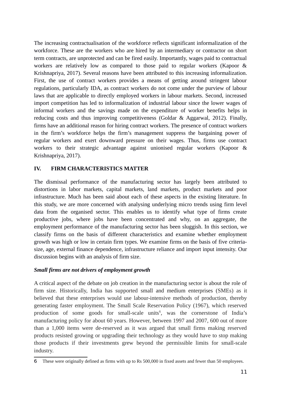The increasing contractualisation of the workforce reflects significant informalization of the workforce. These are the workers who are hired by an intermediary or contractor on short term contracts, are unprotected and can be fired easily. Importantly, wages paid to contractual workers are relatively low as compared to those paid to regular workers (Kapoor & Krishnapriya, 2017). Several reasons have been attributed to this increasing informalization. First, the use of contract workers provides a means of getting around stringent labour regulations, particularly IDA, as contract workers do not come under the purview of labour laws that are applicable to directly employed workers in labour markets. Second, increased import competition has led to informalization of industrial labour since the lower wages of informal workers and the savings made on the expenditure of worker benefits helps in reducing costs and thus improving competitiveness (Goldar & Aggarwal, 2012). Finally, firms have an additional reason for hiring contract workers. The presence of contract workers in the firm's workforce helps the firm's management suppress the bargaining power of regular workers and exert downward pressure on their wages. Thus, firms use contract workers to their strategic advantage against unionised regular workers (Kapoor & Krishnapriya, 2017).

### **IV. FIRM CHARACTERISTICS MATTER**

The dismissal performance of the manufacturing sector has largely been attributed to distortions in labor markets, capital markets, land markets, product markets and poor infrastructure. Much has been said about each of these aspects in the existing literature. In this study, we are more concerned with analysing underlying micro trends using firm level data from the organised sector. This enables us to identify what type of firms create productive jobs, where jobs have been concentrated and why, on an aggregate, the employment performance of the manufacturing sector has been sluggish. In this section, we classify firms on the basis of different characteristics and examine whether employment growth was high or low in certain firm types. We examine firms on the basis of five criteriasize, age, external finance dependence, infrastructure reliance and import input intensity. Our discussion begins with an analysis of firm size.

### *Small firms are not drivers of employment growth*

A critical aspect of the debate on job creation in the manufacturing sector is about the role of firm size. Historically, India has supported small and medium enterprises (SMEs) as it believed that these enterprises would use labour-intensive methods of production, thereby generating faster employment. The Small Scale Reservation Policy (1967), which reserved production of some goods for small-scale units<sup>6</sup>, was the cornerstone of India's manufacturing policy for about 60 years. However, between 1997 and 2007, 600 out of more than a 1,000 items were de-reserved as it was argued that small firms making reserved products resisted growing or upgrading their technology as they would have to stop making those products if their investments grew beyond the permissible limits for small-scale industry.

<sup>6</sup> These were originally defined as firms with up to Rs 500,000 in fixed assets and fewer than 50 employees.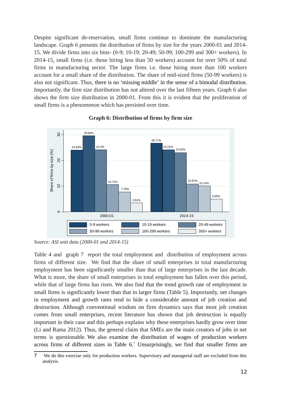Despite significant de-reservation, small firms continue to dominate the manufacturing landscape. Graph 6 presents the distribution of firms by size for the years 2000-01 and 2014- 15. We divide firms into six bins- (0-9; 10-19; 20-49; 50-99; 100-299 and 300+ workers). In 2014-15, small firms (i.e. those hiring less than 50 workers) account for over 50% of total firms in manufacturing sector. The large firms i.e. those hiring more than 100 workers account for a small share of the distribution. The share of mid-sized firms (50-99 workers) is also not significant. Thus, there is no 'missing middle' in the sense of a bimodal distribution. Importantly, the firm size distribution has not altered over the last fifteen years. Graph 6 also shows the firm size distribution in 2000-01. From this it is evident that the proliferation of small firms is a phenomenon which has persisted over time.



### **Graph 6: Distribution of firms by firm size** Distribution of Firms by Firm Size

Table 4 and graph 7 report the total employment and distribution of employment across firms of different size. We find that the share of small enterprises in total manufacturing employment has been significantly smaller than that of large enterprises in the last decade. What is more, the share of small enterprises in total employment has fallen over this period, while that of large firms has risen. We also find that the trend growth rate of employment in small firms is significantly lower than that in larger firms (Table 5). Importantly, net changes in employment and growth rates tend to hide a considerable amount of job creation and destruction. Although conventional wisdom on firm dynamics says that most job creation comes from small enterprises, recent literature has shown that job destruction is equally important in their case and this perhaps explains why these enterprises hardly grow over time (Li and Rama 2012). Thus, the general claim that SMEs are the main creators of jobs in net terms is questionable. We also examine the distribution of wages of production workers across firms of different sizes in Table  $6<sup>7</sup>$  Unsurprisingly, we find that smaller firms are

*Source: ASI unit data (2000-01 and 2014-15)* 

<sup>7</sup> We do this exercise only for production workers. Supervisory and managerial staff are excluded from this analysis.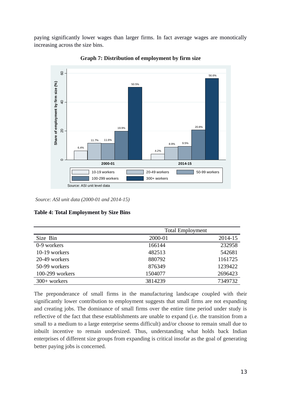paying significantly lower wages than larger firms. In fact average wages are monotically increasing across the size bins.



**Graph 7: Distribution of employment by firm size 2000-01 to 2014-15**

*Source: ASI unit data (2000-01 and 2014-15)*

| <b>Table 4: Total Employment by Size Bins</b> |  |  |  |  |  |  |  |
|-----------------------------------------------|--|--|--|--|--|--|--|
|-----------------------------------------------|--|--|--|--|--|--|--|

|                          | <b>Total Employment</b> |         |
|--------------------------|-------------------------|---------|
| Size Bin                 | 2000-01                 | 2014-15 |
| $\overline{0-9}$ workers | 166144                  | 232958  |
| 10-19 workers            | 482513                  | 542681  |
| 20-49 workers            | 880792                  | 1161725 |
| 50-99 workers            | 876349                  | 1239422 |
| 100-299 workers          | 1504077                 | 2696423 |
| 300+ workers             | 3814239                 | 7349732 |

The preponderance of small firms in the manufacturing landscape coupled with their significantly lower contribution to employment suggests that small firms are not expanding and creating jobs. The dominance of small firms over the entire time period under study is reflective of the fact that these establishments are unable to expand (i.e. the transition from a small to a medium to a large enterprise seems difficult) and/or choose to remain small due to inbuilt incentive to remain undersized. Thus, understanding what holds back Indian enterprises of different size groups from expanding is critical insofar as the goal of generating better paying jobs is concerned.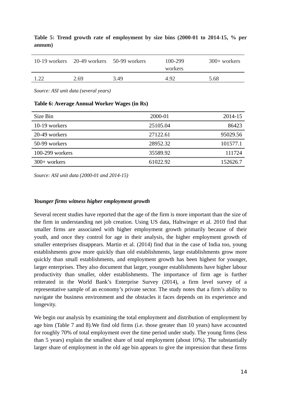|      | 10-19 workers 20-49 workers 50-99 workers |      | 100-299<br>workers | $300+$ workers |
|------|-------------------------------------------|------|--------------------|----------------|
| 1.22 | 2.69                                      | 3.49 | 4.92               | 5.68           |

### **Table 5: Trend growth rate of employment by size bins (2000-01 to 2014-15, % per annum)**

*Source: ASI unit data (several years)*

### **Table 6: Average Annual Worker Wages (in Rs)**

| Size Bin        | 2000-01  | 2014-15  |
|-----------------|----------|----------|
| 10-19 workers   | 25105.04 | 86423    |
| 20-49 workers   | 27122.61 | 95029.56 |
| 50-99 workers   | 28952.32 | 101577.1 |
| 100-299 workers | 35589.92 | 111724   |
| $300+$ workers  | 61022.92 | 152626.7 |

*Source: ASI unit data (2000-01 and 2014-15)*

### *Younger firms witness higher employment growth*

Several recent studies have reported that the age of the firm is more important than the size of the firm in understanding net job creation. Using US data, Haltwinger et al. 2010 find that smaller firms are associated with higher employment growth primarily because of their youth, and once they control for age in their analysis, the higher employment growth of smaller enterprises disappears. Martin et al. (2014) find that in the case of India too, young establishments grow more quickly than old establishments, large establishments grow more quickly than small establishments, and employment growth has been highest for younger, larger enterprises. They also document that larger, younger establishments have higher labour productivity than smaller, older establishments. The importance of firm age is further reiterated in the World Bank's Enterprise Survey (2014), a firm level survey of a representative sample of an economy's private sector. The study notes that a firm's ability to navigate the business environment and the obstacles it faces depends on its experience and longevity.

We begin our analysis by examining the total employment and distribution of employment by age bins (Table 7 and 8).We find old firms (i.e. those greater than 10 years) have accounted for roughly 70% of total employment over the time period under study. The young firms (less than 5 years) explain the smallest share of total employment (about 10%). The substantially larger share of employment in the old age bin appears to give the impression that these firms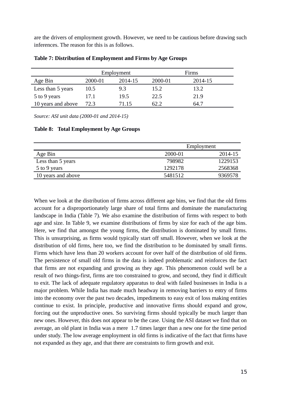are the drivers of employment growth. However, we need to be cautious before drawing such inferences. The reason for this is as follows.

|                    |         | Employment |         | Firms   |  |
|--------------------|---------|------------|---------|---------|--|
| Age Bin            | 2000-01 | 2014-15    | 2000-01 | 2014-15 |  |
| Less than 5 years  | 10.5    | 9.3        | 15.2    | 13.2    |  |
| 5 to 9 years       | 17.1    | 19.5       | 22.5    | 21.9    |  |
| 10 years and above | 72.3    | 71.15      | 62.2    | 64.7    |  |

**Table 7: Distribution of Employment and Firms by Age Groups**

*Source: ASI unit data (2000-01 and 2014-15)*

**Table 8: Total Employment by Age Groups**

|                    |         | Employment |
|--------------------|---------|------------|
| Age Bin            | 2000-01 | 2014-15    |
| Less than 5 years  | 798982  | 1229153    |
| 5 to 9 years       | 1292178 | 2568368    |
| 10 years and above | 5481512 | 9369578    |

When we look at the distribution of firms across different age bins, we find that the old firms account for a disproportionately large share of total firms and dominate the manufacturing landscape in India (Table 7). We also examine the distribution of firms with respect to both age and size. In Table 9, we examine distributions of firms by size for each of the age bins. Here, we find that amongst the young firms, the distribution is dominated by small firms. This is unsurprising, as firms would typically start off small. However, when we look at the distribution of old firms, here too, we find the distribution to be dominated by small firms. Firms which have less than 20 workers account for over half of the distribution of old firms. The persistence of small old firms in the data is indeed problematic and reinforces the fact that firms are not expanding and growing as they age. This phenomenon could well be a result of two things-first, firms are too constrained to grow, and second, they find it difficult to exit. The lack of adequate regulatory apparatus to deal with failed businesses in India is a major problem. While India has made much headway in removing barriers to entry of firms into the economy over the past two decades, impediments to easy exit of loss making entities continue to exist. In principle, productive and innovative firms should expand and grow, forcing out the unproductive ones. So surviving firms should typically be much larger than new ones. However, this does not appear to be the case. Using the ASI dataset we find that on average, an old plant in India was a mere 1.7 times larger than a new one for the time period under study. The low average employment in old firms is indicative of the fact that firms have not expanded as they age, and that there are constraints to firm growth and exit.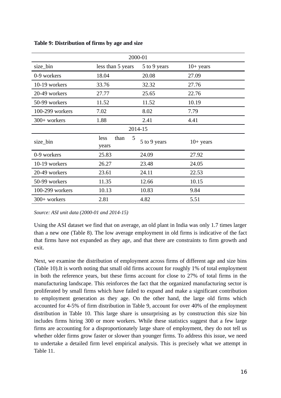| 2000-01         |                            |              |             |  |  |  |
|-----------------|----------------------------|--------------|-------------|--|--|--|
| size_bin        | less than 5 years          | 5 to 9 years | $10+$ years |  |  |  |
| 0-9 workers     | 18.04                      | 20.08        | 27.09       |  |  |  |
| 10-19 workers   | 33.76                      | 32.32        | 27.76       |  |  |  |
| 20-49 workers   | 27.77                      | 25.65        | 22.76       |  |  |  |
| 50-99 workers   | 11.52                      | 11.52        | 10.19       |  |  |  |
| 100-299 workers | 7.02                       | 8.02         | 7.79        |  |  |  |
| 300+ workers    | 1.88                       | 2.41         | 4.41        |  |  |  |
| 2014-15         |                            |              |             |  |  |  |
| size_bin        | than<br>5<br>less<br>years | 5 to 9 years | $10+$ years |  |  |  |
| 0-9 workers     | 25.83                      | 24.09        | 27.92       |  |  |  |
| 10-19 workers   | 26.27                      | 23.48        | 24.05       |  |  |  |
| 20-49 workers   | 23.61                      | 24.11        | 22.53       |  |  |  |
| 50-99 workers   | 11.35                      | 12.66        | 10.15       |  |  |  |
| 100-299 workers | 10.13                      | 10.83        | 9.84        |  |  |  |
| 300+ workers    | 2.81                       | 4.82         | 5.51        |  |  |  |

**Table 9: Distribution of firms by age and size**

*Source: ASI unit data (2000-01 and 2014-15)*

Using the ASI dataset we find that on average, an old plant in India was only 1.7 times larger than a new one (Table 8). The low average employment in old firms is indicative of the fact that firms have not expanded as they age, and that there are constraints to firm growth and exit.

Next, we examine the distribution of employment across firms of different age and size bins (Table 10).It is worth noting that small old firms account for roughly 1% of total employment in both the reference years, but these firms account for close to 27% of total firms in the manufacturing landscape. This reinforces the fact that the organized manufacturing sector is proliferated by small firms which have failed to expand and make a significant contribution to employment generation as they age. On the other hand, the large old firms which accounted for 4-5% of firm distribution in Table 9, account for over 40% of the employment distribution in Table 10. This large share is unsurprising as by construction this size bin includes firms hiring 300 or more workers. While these statistics suggest that a few large firms are accounting for a disproportionately large share of employment, they do not tell us whether older firms grow faster or slower than younger firms. To address this issue, we need to undertake a detailed firm level empirical analysis. This is precisely what we attempt in Table 11.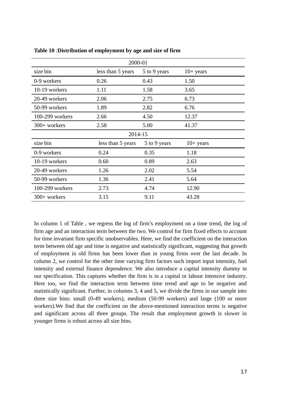| 2000-01         |                   |              |             |  |  |
|-----------------|-------------------|--------------|-------------|--|--|
| size bin        | less than 5 years | 5 to 9 years | $10+$ years |  |  |
| 0-9 workers     | 0.26              | 0.43         | 1.50        |  |  |
| 10-19 workers   | 1.11              | 1.58         | 3.65        |  |  |
| 20-49 workers   | 2.06              | 2.75         | 6.73        |  |  |
| 50-99 workers   | 1.89              | 2.82         | 6.76        |  |  |
| 100-299 workers | 2.66              | 4.50         | 12.37       |  |  |
| 300+ workers    | 2.58              | 5.00         | 41.37       |  |  |
| 2014-15         |                   |              |             |  |  |
| size bin        | less than 5 years | 5 to 9 years | $10+$ years |  |  |
| 0-9 workers     | 0.24              | 0.35         | 1.18        |  |  |
| 10-19 workers   | 0.60              | 0.89         | 2.63        |  |  |
| 20-49 workers   | 1.26              | 2.02         | 5.54        |  |  |
| 50-99 workers   | 1.36              | 2.41         | 5.64        |  |  |
| 100-299 workers | 2.73              | 4.74         | 12.90       |  |  |
| 300+ workers    | 3.15              | 9.11         | 43.28       |  |  |

**Table 10** :**Distribution of employment by age and size of firm**

In column 1 of Table , we regress the log of firm's employment on a time trend, the log of firm age and an interaction term between the two. We control for firm fixed effects to account for time invariant firm specific unobservables. Here, we find the coefficient on the interaction term between old age and time is negative and statistically significant, suggesting that growth of employment in old firms has been lower than in young firms over the last decade. In column 2, we control for the other time varying firm factors such import input intensity, fuel intensity and external finance dependence. We also introduce a capital intensity dummy in our specification. This captures whether the firm is in a capital or labour intensive industry. Here too, we find the interaction term between time trend and age to be negative and statistically significant. Further, in columns 3, 4 and 5, we divide the firms in our sample into three size bins: small (0-49 workers), medium (50-99 workers) and large (100 or more workers).We find that the coefficient on the above-mentioned interaction terms is negative and significant across all three groups. The result that employment growth is slower in younger firms is robust across all size bins.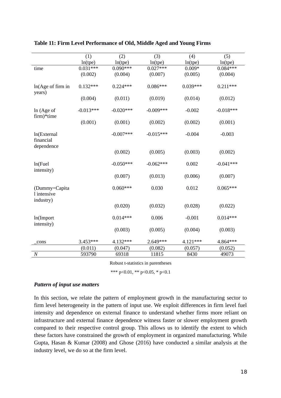|                                           | (1)         | (2)         | (3)         | (4)        | (5)         |
|-------------------------------------------|-------------|-------------|-------------|------------|-------------|
|                                           | ln(tpe)     | ln(tpe)     | ln(tpe)     | ln(tpe)    | ln(tpe)     |
| time                                      | $0.031***$  | $0.090***$  | $0.027***$  | $0.009*$   | $0.084***$  |
|                                           | (0.002)     | (0.004)     | (0.007)     | (0.005)    | (0.004)     |
| ln(Age of firm in<br>years)               | $0.132***$  | $0.224***$  | $0.086***$  | $0.039***$ | $0.211***$  |
|                                           | (0.004)     | (0.011)     | (0.019)     | (0.014)    | (0.012)     |
| ln (Age of<br>firm)*time                  | $-0.013***$ | $-0.020***$ | $-0.009***$ | $-0.002$   | $-0.018***$ |
|                                           | (0.001)     | (0.001)     | (0.002)     | (0.002)    | (0.001)     |
| ln(External<br>financial<br>dependence    |             | $-0.007***$ | $-0.015***$ | $-0.004$   | $-0.003$    |
|                                           |             | (0.002)     | (0.005)     | (0.003)    | (0.002)     |
| ln(Fuel<br>intensity)                     |             | $-0.050***$ | $-0.062***$ | 0.002      | $-0.041***$ |
|                                           |             | (0.007)     | (0.013)     | (0.006)    | (0.007)     |
| (Dummy=Capita<br>l intensive<br>industry) |             | $0.060***$  | 0.030       | 0.012      | $0.065***$  |
|                                           |             | (0.020)     | (0.032)     | (0.028)    | (0.022)     |
| ln(Import<br>intensity)                   |             | $0.014***$  | 0.006       | $-0.001$   | $0.014***$  |
|                                           |             | (0.003)     | (0.005)     | (0.004)    | (0.003)     |
| cons                                      | 3.453***    | 4.132***    | 2.649***    | 4.121***   | 4.864***    |
|                                           | (0.011)     | (0.047)     | (0.082)     | (0.057)    | (0.052)     |
| $\cal N$                                  | 593790      | 69318       | 11815       | 8430       | 49073       |

**Table 11: Firm Level Performance of Old, Middle Aged and Young Firms**

Robust t-statistics in parentheses

\*\*\* p<0.01, \*\* p<0.05, \* p<0.1

### *Pattern of input use matters*

In this section, we relate the pattern of employment growth in the manufacturing sector to firm level heterogeneity in the pattern of input use. We exploit differences in firm level fuel intensity and dependence on external finance to understand whether firms more reliant on infrastructure and external finance dependence witness faster or slower employment growth compared to their respective control group. This allows us to identify the extent to which these factors have constrained the growth of employment in organized manufacturing. While Gupta, Hasan & Kumar (2008) and Ghose (2016) have conducted a similar analysis at the industry level, we do so at the firm level.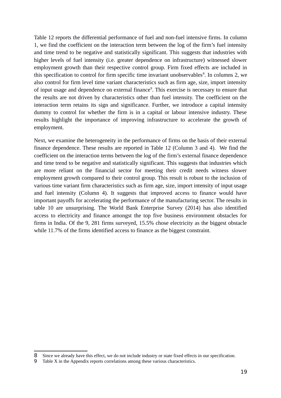Table 12 reports the differential performance of fuel and non-fuel intensive firms. In column 1, we find the coefficient on the interaction term between the log of the firm's fuel intensity and time trend to be negative and statistically significant. This suggests that industries with higher levels of fuel intensity (i.e. greater dependence on infrastructure) witnessed slower employment growth than their respective control group. Firm fixed effects are included in this specification to control for firm specific time invariant unobservables<sup>8</sup>. In columns 2, we also control for firm level time variant characteristics such as firm age, size, import intensity of input usage and dependence on external finance<sup>9</sup>. This exercise is necessary to ensure that the results are not driven by characteristics other than fuel intensity. The coefficient on the interaction term retains its sign and significance. Further, we introduce a capital intensity dummy to control for whether the firm is in a capital or labour intensive industry. These results highlight the importance of improving infrastructure to accelerate the growth of employment.

Next, we examine the heterogeneity in the performance of firms on the basis of their external finance dependence. These results are reported in Table 12 (Column 3 and 4). We find the coefficient on the interaction terms between the log of the firm's external finance dependence and time trend to be negative and statistically significant. This suggests that industries which are more reliant on the financial sector for meeting their credit needs witness slower employment growth compared to their control group. This result is robust to the inclusion of various time variant firm characteristics such as firm age, size, import intensity of input usage and fuel intensity (Column 4). It suggests that improved access to finance would have important payoffs for accelerating the performance of the manufacturing sector. The results in table 10 are unsurprising. The World Bank Enterprise Survey (2014) has also identified access to electricity and finance amongst the top five business environment obstacles for firms in India. Of the 9, 281 firms surveyed, 15.5% chose electricity as the biggest obstacle while 11.7% of the firms identified access to finance as the biggest constraint.

<sup>8</sup> Since we already have this effect, we do not include industry or state fixed effects in our specification.

<sup>9</sup> Table X in the Appendix reports correlations among these various characteristics.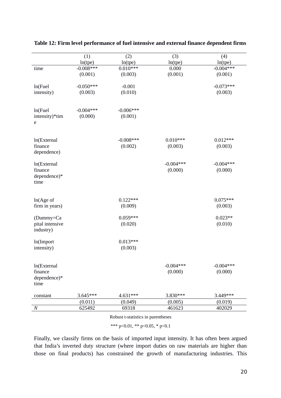|                         | (1)         | (2)         | (3)         | (4)         |
|-------------------------|-------------|-------------|-------------|-------------|
|                         | ln(tpe)     | ln(tpe)     | ln(tpe)     | ln(tpe)     |
| time                    | $-0.008***$ | $0.010***$  | 0.000       | $-0.004***$ |
|                         | (0.001)     | (0.003)     | (0.001)     | (0.001)     |
|                         |             |             |             |             |
| ln(Fuel                 | $-0.050***$ | $-0.001$    |             | $-0.073***$ |
| intensity)              | (0.003)     | (0.010)     |             | (0.003)     |
|                         |             |             |             |             |
| ln(Fuel                 | $-0.004***$ | $-0.006***$ |             |             |
| intensity)*tim          | (0.000)     | (0.001)     |             |             |
| e                       |             |             |             |             |
|                         |             |             |             |             |
|                         |             |             |             |             |
| ln(External             |             | $-0.008***$ | $0.010***$  | $0.012***$  |
| finance                 |             | (0.002)     | (0.003)     | (0.003)     |
| dependence)             |             |             |             |             |
|                         |             |             |             |             |
| ln(External             |             |             | $-0.004***$ | $-0.004***$ |
| finance<br>dependence)* |             |             | (0.000)     | (0.000)     |
|                         |             |             |             |             |
| time                    |             |             |             |             |
|                         |             |             |             |             |
| ln(Age of               |             | $0.122***$  |             | $0.075***$  |
| firm in years)          |             | (0.009)     |             | (0.003)     |
|                         |             |             |             |             |
| (Dummy=Ca               |             | $0.059***$  |             | $0.023**$   |
| pital intensive         |             | (0.020)     |             | (0.010)     |
| industry)               |             |             |             |             |
|                         |             | $0.013***$  |             |             |
| ln(Import<br>intensity) |             | (0.003)     |             |             |
|                         |             |             |             |             |
|                         |             |             |             |             |
| ln(External             |             |             | $-0.004***$ | $-0.004***$ |
| finance                 |             |             | (0.000)     | (0.000)     |
| dependence)*            |             |             |             |             |
| time                    |             |             |             |             |
|                         |             |             |             |             |
| constant                | 3.645***    | 4.631***    | 3.830***    | 3.449***    |
|                         | (0.011)     | (0.049)     | (0.005)     | (0.019)     |
| $\boldsymbol{N}$        | 625492      | 69318       | 461623      | 402029      |

**Table 12: Firm level performance of fuel intensive and external finance dependent firms**

Robust t-statistics in parentheses

\*\*\* p<0.01, \*\* p<0.05, \* p<0.1

Finally, we classify firms on the basis of imported input intensity. It has often been argued that India's inverted duty structure (where import duties on raw materials are higher than those on final products) has constrained the growth of manufacturing industries. This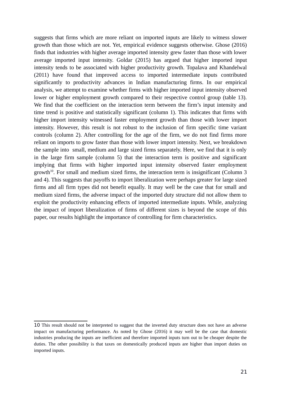suggests that firms which are more reliant on imported inputs are likely to witness slower growth than those which are not. Yet, empirical evidence suggests otherwise. Ghose (2016) finds that industries with higher average imported intensity grew faster than those with lower average imported input intensity. Goldar (2015) has argued that higher imported input intensity tends to be associated with higher productivity growth. Topalava and Khandelwal (2011) have found that improved access to imported intermediate inputs contributed significantly to productivity advances in Indian manufacturing firms. In our empirical analysis, we attempt to examine whether firms with higher imported input intensity observed lower or higher employment growth compared to their respective control group (table 13). We find that the coefficient on the interaction term between the firm's input intensity and time trend is positive and statistically significant (column 1). This indicates that firms with higher import intensity witnessed faster employment growth than those with lower import intensity. However, this result is not robust to the inclusion of firm specific time variant controls (column 2). After controlling for the age of the firm, we do not find firms more reliant on imports to grow faster than those with lower import intensity. Next, we breakdown the sample into small, medium and large sized firms separately. Here, we find that it is only in the large firm sample (column 5) that the interaction term is positive and significant implying that firms with higher imported input intensity observed faster employment growth $10$ . For small and medium sized firms, the interaction term is insignificant (Column 3 and 4). This suggests that payoffs to import liberalization were perhaps greater for large sized firms and all firm types did not benefit equally. It may well be the case that for small and medium sized firms, the adverse impact of the imported duty structure did not allow them to exploit the productivity enhancing effects of imported intermediate inputs. While, analyzing the impact of import liberalization of firms of different sizes is beyond the scope of this paper, our results highlight the importance of controlling for firm characteristics.

<sup>10</sup> This result should not be interpreted to suggest that the inverted duty structure does not have an adverse impact on manufacturing performance. As noted by Ghose (2016) it may well be the case that domestic industries producing the inputs are inefficient and therefore imported inputs turn out to be cheaper despite the duties. The other possibility is that taxes on domestically produced inputs are higher than import duties on imported inputs.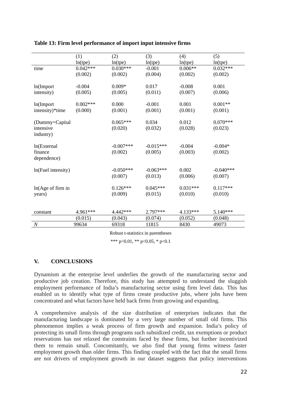|                                          | (1)<br>ln(tpe)        | (2)<br>ln(tpe)         | (3)<br>ln(tpe)         | (4)<br>ln(tpe)        | (5)<br>ln(tpe)         |
|------------------------------------------|-----------------------|------------------------|------------------------|-----------------------|------------------------|
| time                                     | $0.042***$<br>(0.002) | $0.030***$<br>(0.002)  | $-0.001$<br>(0.004)    | $0.006**$<br>(0.002)  | $0.032***$<br>(0.002)  |
| ln(Import<br>intensity)                  | $-0.004$<br>(0.005)   | $0.009*$<br>(0.005)    | 0.017<br>(0.011)       | $-0.008$<br>(0.007)   | 0.001<br>(0.006)       |
| ln(Import<br>intensity)*time             | $0.002***$<br>(0.000) | 0.000<br>(0.001)       | $-0.001$<br>(0.001)    | 0.001<br>(0.001)      | $0.001**$<br>(0.001)   |
| (Dummy=Capital<br>intensive<br>industry) |                       | $0.065***$<br>(0.020)  | 0.034<br>(0.032)       | 0.012<br>(0.028)      | $0.070***$<br>(0.023)  |
| ln(External<br>finance<br>dependence)    |                       | $-0.007***$<br>(0.002) | $-0.015***$<br>(0.005) | $-0.004$<br>(0.003)   | $-0.004*$<br>(0.002)   |
| ln(Fuel intensity)                       |                       | $-0.050***$<br>(0.007) | $-0.063***$<br>(0.013) | 0.002<br>(0.006)      | $-0.040***$<br>(0.007) |
| ln(Age of firm in<br>years)              |                       | $0.126***$<br>(0.009)  | $0.045***$<br>(0.015)  | $0.031***$<br>(0.010) | $0.117***$<br>(0.010)  |
| constant                                 | 4.961***              | 4.442***               | 2.797***               | 4.133***              | $5.140***$             |
|                                          | (0.015)               | (0.043)                | (0.074)                | (0.052)               | (0.048)                |
| $\cal N$                                 | 99634                 | 69318                  | 11815                  | 8430                  | 49073                  |

**Table 13: Firm level performance of import input intensive firms**

Robust t-statistics in parentheses

\*\*\* p<0.01, \*\* p<0.05, \* p<0.1

### **V. CONCLUSIONS**

Dynamism at the enterprise level underlies the growth of the manufacturing sector and productive job creation. Therefore, this study has attempted to understand the sluggish employment performance of India's manufacturing sector using firm level data. This has enabled us to identify what type of firms create productive jobs, where jobs have been concentrated and what factors have held back firms from growing and expanding.

A comprehensive analysis of the size distribution of enterprises indicates that the manufacturing landscape is dominated by a very large number of small old firms. This phenomenon implies a weak process of firm growth and expansion. India's policy of protecting its small firms through programs such subsidized credit, tax exemptions or product reservations has not relaxed the constraints faced by these firms, but further incentivized them to remain small. Concomitantly, we also find that young firms witness faster employment growth than older firms. This finding coupled with the fact that the small firms are not drivers of employment growth in our dataset suggests that policy interventions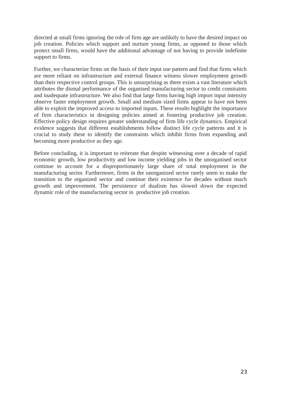directed at small firms ignoring the role of firm age are unlikely to have the desired impact on job creation. Policies which support and nurture young firms, as opposed to those which protect small firms, would have the additional advantage of not having to provide indefinite support to firms.

Further, we characterize firms on the basis of their input use pattern and find that firms which are more reliant on infrastructure and external finance witness slower employment growth than their respective control groups. This is unsurprising as there exists a vast literature which attributes the dismal performance of the organised manufacturing sector to credit constraints and inadequate infrastructure. We also find that large firms having high import input intensity observe faster employment growth. Small and medium sized firms appear to have not been able to exploit the improved access to imported inputs. These results highlight the importance of firm characteristics in designing policies aimed at fostering productive job creation. Effective policy design requires greater understanding of firm life cycle dynamics. Empirical evidence suggests that different establishments follow distinct life cycle patterns and it is crucial to study these to identify the constraints which inhibit firms from expanding and becoming more productive as they age.

Before concluding, it is important to reiterate that despite witnessing over a decade of rapid economic growth, low productivity and low income yielding jobs in the unorganised sector continue to account for a disproportionately large share of total employment in the manufacturing sector. Furthermore, firms in the unorganized sector rarely seem to make the transition to the organized sector and continue their existence for decades without much growth and improvement. The persistence of dualism has slowed down the expected dynamic role of the manufacturing sector in productive job creation.